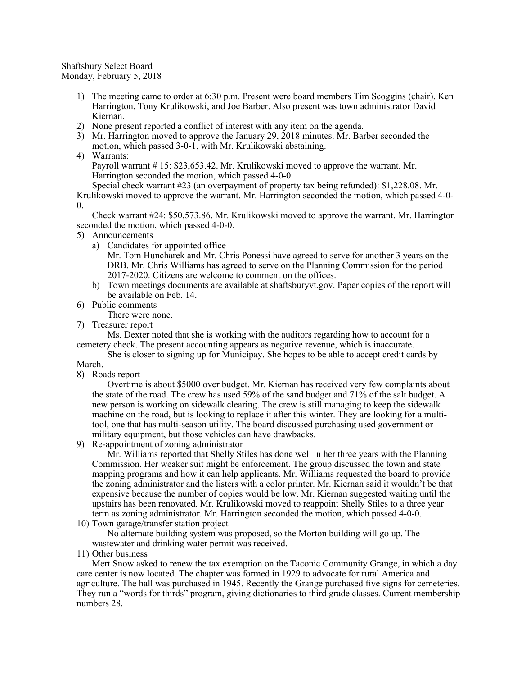Shaftsbury Select Board Monday, February 5, 2018

- 1) The meeting came to order at 6:30 p.m. Present were board members Tim Scoggins (chair), Ken Harrington, Tony Krulikowski, and Joe Barber. Also present was town administrator David Kiernan.
- 2) None present reported a conflict of interest with any item on the agenda.
- 3) Mr. Harrington moved to approve the January 29, 2018 minutes. Mr. Barber seconded the motion, which passed 3-0-1, with Mr. Krulikowski abstaining.
- 4) Warrants:

Payroll warrant # 15: \$23,653.42. Mr. Krulikowski moved to approve the warrant. Mr. Harrington seconded the motion, which passed 4-0-0.

Special check warrant #23 (an overpayment of property tax being refunded): \$1,228.08. Mr. Krulikowski moved to approve the warrant. Mr. Harrington seconded the motion, which passed 4-0-  $\overline{0}$ .

Check warrant #24: \$50,573.86. Mr. Krulikowski moved to approve the warrant. Mr. Harrington seconded the motion, which passed 4-0-0.

- 5) Announcements
	- a) Candidates for appointed office
		- Mr. Tom Huncharek and Mr. Chris Ponessi have agreed to serve for another 3 years on the DRB. Mr. Chris Williams has agreed to serve on the Planning Commission for the period 2017-2020. Citizens are welcome to comment on the offices.
	- b) Town meetings documents are available at shaftsburyvt.gov. Paper copies of the report will be available on Feb. 14.
- 6) Public comments

There were none.

7) Treasurer report

Ms. Dexter noted that she is working with the auditors regarding how to account for a cemetery check. The present accounting appears as negative revenue, which is inaccurate.

She is closer to signing up for Municipay. She hopes to be able to accept credit cards by March.

8) Roads report

Overtime is about \$5000 over budget. Mr. Kiernan has received very few complaints about the state of the road. The crew has used 59% of the sand budget and 71% of the salt budget. A new person is working on sidewalk clearing. The crew is still managing to keep the sidewalk machine on the road, but is looking to replace it after this winter. They are looking for a multitool, one that has multi-season utility. The board discussed purchasing used government or military equipment, but those vehicles can have drawbacks.

9) Re-appointment of zoning administrator

Mr. Williams reported that Shelly Stiles has done well in her three years with the Planning Commission. Her weaker suit might be enforcement. The group discussed the town and state mapping programs and how it can help applicants. Mr. Williams requested the board to provide the zoning administrator and the listers with a color printer. Mr. Kiernan said it wouldn't be that expensive because the number of copies would be low. Mr. Kiernan suggested waiting until the upstairs has been renovated. Mr. Krulikowski moved to reappoint Shelly Stiles to a three year term as zoning administrator. Mr. Harrington seconded the motion, which passed 4-0-0.

10) Town garage/transfer station project

No alternate building system was proposed, so the Morton building will go up. The wastewater and drinking water permit was received.

11) Other business

Mert Snow asked to renew the tax exemption on the Taconic Community Grange, in which a day care center is now located. The chapter was formed in 1929 to advocate for rural America and agriculture. The hall was purchased in 1945. Recently the Grange purchased five signs for cemeteries. They run a "words for thirds" program, giving dictionaries to third grade classes. Current membership numbers 28.